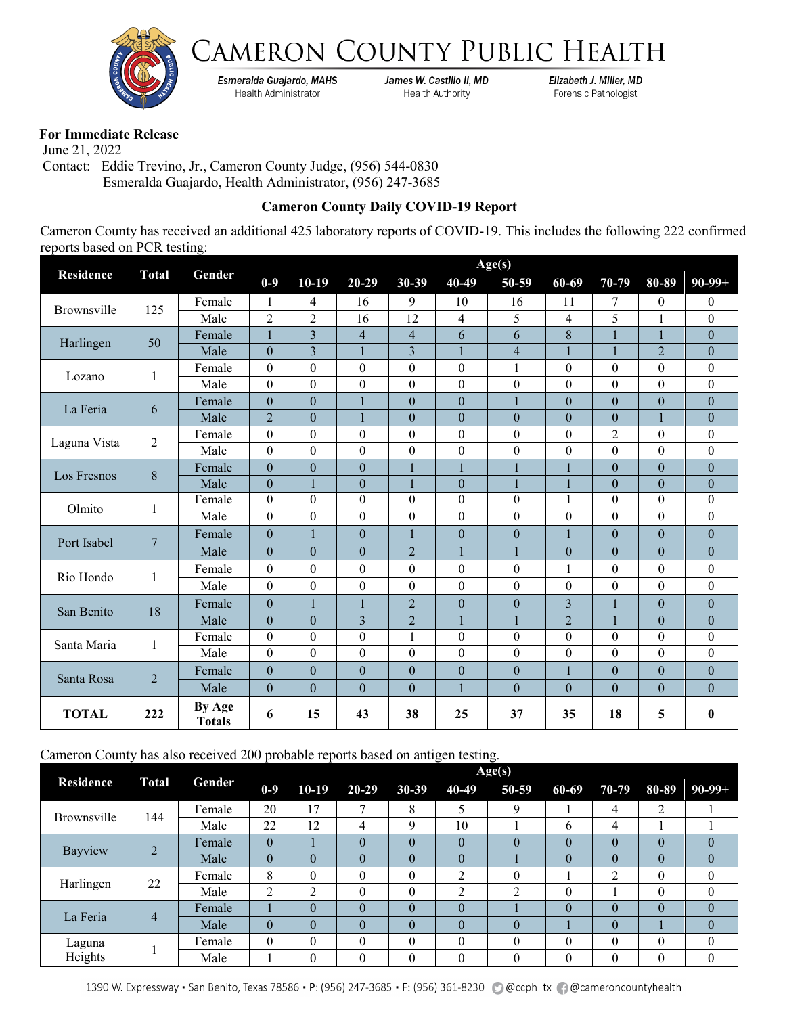



Esmeralda Guajardo, MAHS Health Administrator

James W. Castillo II, MD **Health Authority** 

Elizabeth J. Miller, MD Forensic Pathologist

## **For Immediate Release**

 June 21, 2022 Contact: Eddie Trevino, Jr., Cameron County Judge, (956) 544-0830 Esmeralda Guajardo, Health Administrator, (956) 247-3685

## **Cameron County Daily COVID-19 Report**

Cameron County has received an additional 425 laboratory reports of COVID-19. This includes the following 222 confirmed reports based on PCR testing:

|                    | <b>Total</b>   |                         | Age(s)           |                |                  |                  |                  |                  |                          |                |                  |                  |  |
|--------------------|----------------|-------------------------|------------------|----------------|------------------|------------------|------------------|------------------|--------------------------|----------------|------------------|------------------|--|
| <b>Residence</b>   |                | Gender                  | $0 - 9$          | $10-19$        | $20 - 29$        | $30 - 39$        | 40-49            | 50-59            | 60-69                    | 70-79          | 80-89            | $90-99+$         |  |
| <b>Brownsville</b> | 125            | Female                  | 1                | 4              | 16               | 9                | 10               | 16               | 11                       | 7              | $\mathbf{0}$     | $\overline{0}$   |  |
|                    |                | Male                    | $\overline{2}$   | $\overline{2}$ | 16               | 12               | 4                | 5                | $\overline{\mathcal{A}}$ | 5              | 1                | $\theta$         |  |
|                    | 50             | Female                  | $\mathbf{1}$     | $\overline{3}$ | $\overline{4}$   | $\overline{4}$   | 6                | 6                | 8                        | 1              | 1                | $\boldsymbol{0}$ |  |
| Harlingen          |                | Male                    | $\boldsymbol{0}$ | $\overline{3}$ | $\mathbf{1}$     | $\overline{3}$   | 1                | $\overline{4}$   | $\mathbf{1}$             | $\mathbf{1}$   | $\overline{2}$   | $\boldsymbol{0}$ |  |
| Lozano             | $\mathbf{1}$   | Female                  | $\mathbf{0}$     | $\theta$       | $\theta$         | $\theta$         | $\boldsymbol{0}$ |                  | $\theta$                 | $\theta$       | $\theta$         | $\boldsymbol{0}$ |  |
|                    |                | Male                    | $\mathbf{0}$     | $\theta$       | $\mathbf{0}$     | $\overline{0}$   | $\theta$         | $\overline{0}$   | $\boldsymbol{0}$         | $\overline{0}$ | $\boldsymbol{0}$ | $\boldsymbol{0}$ |  |
| La Feria           | 6              | Female                  | $\mathbf{0}$     | $\mathbf{0}$   | 1                | $\theta$         | $\overline{0}$   | 1                | $\theta$                 | $\theta$       | $\mathbf{0}$     | $\theta$         |  |
|                    |                | Male                    | $\overline{2}$   | $\theta$       | 1                | $\theta$         | $\overline{0}$   | $\theta$         | $\boldsymbol{0}$         | $\mathbf{0}$   | 1                | $\theta$         |  |
| Laguna Vista       | $\overline{c}$ | Female                  | $\theta$         | $\mathbf{0}$   | $\theta$         | $\theta$         | $\theta$         | $\Omega$         | $\theta$                 | $\overline{2}$ | $\theta$         | $\theta$         |  |
|                    |                | Male                    | $\mathbf{0}$     | $\theta$       | $\theta$         | $\theta$         | $\theta$         | $\theta$         | $\theta$                 | $\theta$       | $\theta$         | $\theta$         |  |
| Los Fresnos        | $\,8\,$        | Female                  | $\overline{0}$   | $\overline{0}$ | $\overline{0}$   |                  |                  |                  | $\mathbf{1}$             | $\overline{0}$ | $\overline{0}$   | $\overline{0}$   |  |
|                    |                | Male                    | $\theta$         | $\mathbf{1}$   | $\boldsymbol{0}$ | 1                | $\overline{0}$   | 1                | 1                        | $\theta$       | $\mathbf{0}$     | $\boldsymbol{0}$ |  |
| Olmito             | 1              | Female                  | $\mathbf{0}$     | $\theta$       | $\boldsymbol{0}$ | $\boldsymbol{0}$ | $\overline{0}$   | $\Omega$         | $\mathbf{1}$             | $\theta$       | $\boldsymbol{0}$ | $\boldsymbol{0}$ |  |
|                    |                | Male                    | $\theta$         | $\Omega$       | $\theta$         | $\Omega$         | $\mathbf{0}$     | $\overline{0}$   | $\theta$                 | $\theta$       | $\theta$         | $\mathbf{0}$     |  |
| Port Isabel        | $\overline{7}$ | Female                  | $\theta$         | 1              | $\boldsymbol{0}$ | 1                | $\overline{0}$   | $\theta$         | 1                        | $\theta$       | $\mathbf{0}$     | $\boldsymbol{0}$ |  |
|                    |                | Male                    | $\mathbf{0}$     | $\theta$       | $\mathbf{0}$     | $\overline{2}$   | 1                | 1                | $\boldsymbol{0}$         | $\theta$       | $\boldsymbol{0}$ | $\boldsymbol{0}$ |  |
| Rio Hondo          | 1              | Female                  | $\boldsymbol{0}$ | $\mathbf{0}$   | $\boldsymbol{0}$ | $\theta$         | $\boldsymbol{0}$ | $\Omega$         | $\mathbf{1}$             | $\theta$       | $\boldsymbol{0}$ | $\boldsymbol{0}$ |  |
|                    |                | Male                    | $\theta$         | $\mathbf{0}$   | $\boldsymbol{0}$ | $\overline{0}$   | $\theta$         | $\Omega$         | $\theta$                 | $\theta$       | $\theta$         | $\boldsymbol{0}$ |  |
|                    |                | Female                  | $\overline{0}$   | $\mathbf{1}$   | $\mathbf{1}$     | $\overline{2}$   | $\overline{0}$   | $\theta$         | 3                        | 1              | $\mathbf{0}$     | $\boldsymbol{0}$ |  |
| San Benito         | 18             | Male                    | $\theta$         | $\theta$       | 3                | $\overline{2}$   | 1                |                  | $\overline{2}$           | $\mathbf{1}$   | $\boldsymbol{0}$ | $\theta$         |  |
| Santa Maria        | $\mathbf{1}$   | Female                  | $\boldsymbol{0}$ | $\theta$       | $\boldsymbol{0}$ | 1                | $\boldsymbol{0}$ | $\boldsymbol{0}$ | $\boldsymbol{0}$         | $\theta$       | $\mathbf{0}$     | $\boldsymbol{0}$ |  |
|                    |                | Male                    | $\mathbf{0}$     | $\theta$       | $\boldsymbol{0}$ | $\Omega$         | $\overline{0}$   | $\Omega$         | $\boldsymbol{0}$         | $\theta$       | $\mathbf{0}$     | $\boldsymbol{0}$ |  |
| Santa Rosa         | $\overline{2}$ | Female                  | $\overline{0}$   | $\Omega$       | $\overline{0}$   | $\Omega$         | $\overline{0}$   | $\overline{0}$   | $\mathbf{1}$             | $\overline{0}$ | $\theta$         | $\overline{0}$   |  |
|                    |                | Male                    | $\theta$         | $\mathbf{0}$   | $\theta$         | $\theta$         | $\mathbf{1}$     | $\theta$         | $\theta$                 | $\theta$       | $\theta$         | $\theta$         |  |
| <b>TOTAL</b>       | 222            | By Age<br><b>Totals</b> | 6                | 15             | 43               | 38               | 25               | 37               | 35                       | 18             | 5                | $\boldsymbol{0}$ |  |

Cameron County has also received 200 probable reports based on antigen testing.

|                   | <b>Total</b> | Gender | Age(s)   |           |           |             |          |          |          |          |          |          |  |
|-------------------|--------------|--------|----------|-----------|-----------|-------------|----------|----------|----------|----------|----------|----------|--|
| <b>Residence</b>  |              |        | $0-9$    | $10-19$   | $20 - 29$ | $30 - 39$   | 40-49    | 50-59    | 60-69    | 70-79    | 80-89    | $90-99+$ |  |
| Brownsville       | 144          | Female | 20       | 17        | 7         | 8           |          | Q        |          | 4        | 2        |          |  |
|                   |              | Male   | 22       | 12        | 4         | $\mathbf Q$ | 10       |          | 6        | 4        |          |          |  |
| Bayview           |              | Female | $\theta$ |           | $\theta$  | $\theta$    | $\theta$ |          | $\theta$ | $\theta$ | $\Omega$ |          |  |
|                   |              | Male   | $\theta$ | $\Omega$  | $\theta$  | $\theta$    | $\theta$ |          | $\theta$ | $\theta$ | $\Omega$ | 0        |  |
| Harlingen         | 22           | Female | 8        | $\Omega$  | $\theta$  | $\Omega$    | ↑        | $\theta$ |          | 2        | $\Omega$ | 0        |  |
|                   |              | Male   | 2        | $\bigcap$ | $\theta$  | $\Omega$    | ◠        | ◠        | $\theta$ |          | $\Omega$ | 0        |  |
| La Feria          |              | Female |          | $\theta$  | $\theta$  | $\Omega$    | $\theta$ |          | $\theta$ | $\theta$ | $\Omega$ |          |  |
|                   | 4            | Male   | $\theta$ | $\theta$  | $\theta$  | $\Omega$    | $\theta$ |          |          | $\theta$ |          |          |  |
| Laguna<br>Heights |              | Female | $\theta$ | $\theta$  | $\theta$  | $\Omega$    | 0        | 0        | $\theta$ | $\theta$ | 0        | 0        |  |
|                   |              | Male   |          | $\theta$  | $\theta$  | $\Omega$    | $\theta$ | 0        | $\Omega$ | $\theta$ | 0        | 0        |  |

1390 W. Expressway · San Benito, Texas 78586 · P: (956) 247-3685 · F: (956) 361-8230 @ @ccph\_tx @ @cameroncountyhealth